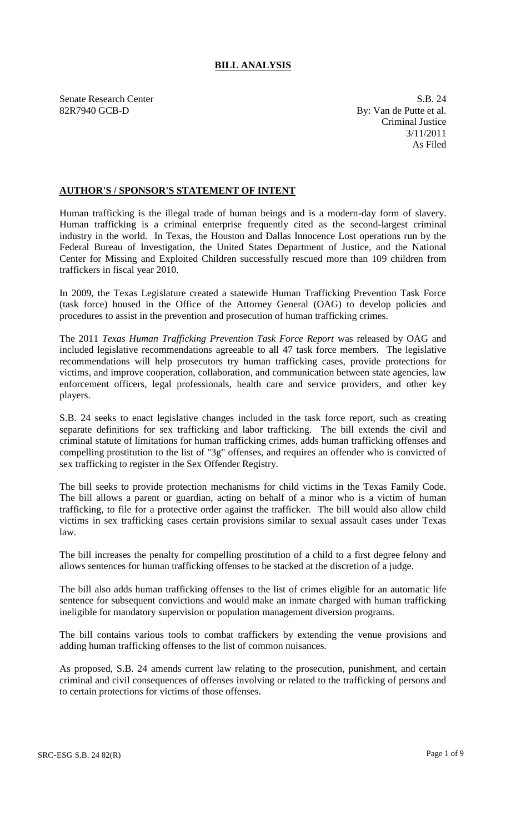# **BILL ANALYSIS**

Senate Research Center S.B. 24 82R7940 GCB-D By: Van de Putte et al.

Criminal Justice 3/11/2011 As Filed

# **AUTHOR'S / SPONSOR'S STATEMENT OF INTENT**

Human trafficking is the illegal trade of human beings and is a modern-day form of slavery. Human trafficking is a criminal enterprise frequently cited as the second-largest criminal industry in the world. In Texas, the Houston and Dallas Innocence Lost operations run by the Federal Bureau of Investigation, the United States Department of Justice, and the National Center for Missing and Exploited Children successfully rescued more than 109 children from traffickers in fiscal year 2010.

In 2009, the Texas Legislature created a statewide Human Trafficking Prevention Task Force (task force) housed in the Office of the Attorney General (OAG) to develop policies and procedures to assist in the prevention and prosecution of human trafficking crimes.

The 2011 *Texas Human Trafficking Prevention Task Force Report* was released by OAG and included legislative recommendations agreeable to all 47 task force members. The legislative recommendations will help prosecutors try human trafficking cases, provide protections for victims, and improve cooperation, collaboration, and communication between state agencies, law enforcement officers, legal professionals, health care and service providers, and other key players.

S.B. 24 seeks to enact legislative changes included in the task force report, such as creating separate definitions for sex trafficking and labor trafficking. The bill extends the civil and criminal statute of limitations for human trafficking crimes, adds human trafficking offenses and compelling prostitution to the list of "3g" offenses, and requires an offender who is convicted of sex trafficking to register in the Sex Offender Registry.

The bill seeks to provide protection mechanisms for child victims in the Texas Family Code. The bill allows a parent or guardian, acting on behalf of a minor who is a victim of human trafficking, to file for a protective order against the trafficker. The bill would also allow child victims in sex trafficking cases certain provisions similar to sexual assault cases under Texas law.

The bill increases the penalty for compelling prostitution of a child to a first degree felony and allows sentences for human trafficking offenses to be stacked at the discretion of a judge.

The bill also adds human trafficking offenses to the list of crimes eligible for an automatic life sentence for subsequent convictions and would make an inmate charged with human trafficking ineligible for mandatory supervision or population management diversion programs.

The bill contains various tools to combat traffickers by extending the venue provisions and adding human trafficking offenses to the list of common nuisances.

As proposed, S.B. 24 amends current law relating to the prosecution, punishment, and certain criminal and civil consequences of offenses involving or related to the trafficking of persons and to certain protections for victims of those offenses.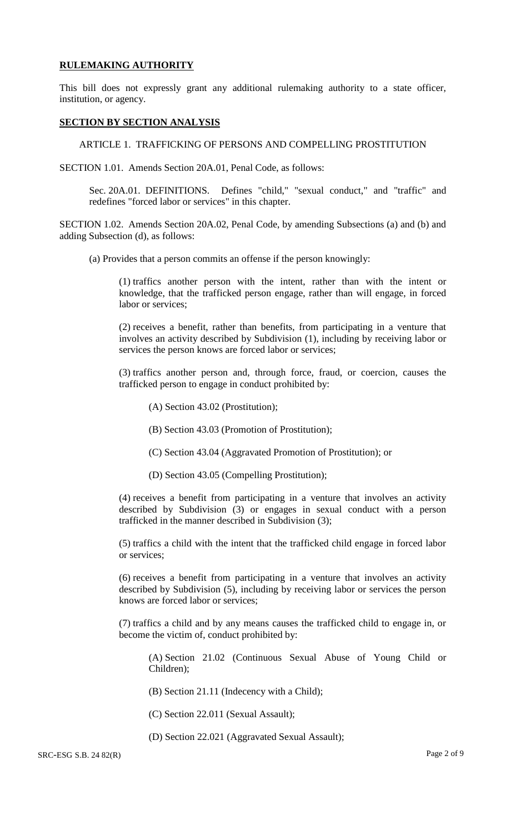### **RULEMAKING AUTHORITY**

This bill does not expressly grant any additional rulemaking authority to a state officer, institution, or agency.

#### **SECTION BY SECTION ANALYSIS**

ARTICLE 1. TRAFFICKING OF PERSONS AND COMPELLING PROSTITUTION

SECTION 1.01. Amends Section 20A.01, Penal Code, as follows:

Sec. 20A.01. DEFINITIONS. Defines "child," "sexual conduct," and "traffic" and redefines "forced labor or services" in this chapter.

SECTION 1.02. Amends Section 20A.02, Penal Code, by amending Subsections (a) and (b) and adding Subsection (d), as follows:

(a) Provides that a person commits an offense if the person knowingly:

(1) traffics another person with the intent, rather than with the intent or knowledge, that the trafficked person engage, rather than will engage, in forced labor or services;

(2) receives a benefit, rather than benefits, from participating in a venture that involves an activity described by Subdivision (1), including by receiving labor or services the person knows are forced labor or services;

(3) traffics another person and, through force, fraud, or coercion, causes the trafficked person to engage in conduct prohibited by:

(A) Section 43.02 (Prostitution);

(B) Section 43.03 (Promotion of Prostitution);

- (C) Section 43.04 (Aggravated Promotion of Prostitution); or
- (D) Section 43.05 (Compelling Prostitution);

(4) receives a benefit from participating in a venture that involves an activity described by Subdivision (3) or engages in sexual conduct with a person trafficked in the manner described in Subdivision (3);

(5) traffics a child with the intent that the trafficked child engage in forced labor or services;

(6) receives a benefit from participating in a venture that involves an activity described by Subdivision (5), including by receiving labor or services the person knows are forced labor or services;

(7) traffics a child and by any means causes the trafficked child to engage in, or become the victim of, conduct prohibited by:

(A) Section 21.02 (Continuous Sexual Abuse of Young Child or Children);

(B) Section 21.11 (Indecency with a Child);

(C) Section 22.011 (Sexual Assault);

(D) Section 22.021 (Aggravated Sexual Assault);

SRC-ESG S.B. 24 82(R) Page 2 of 9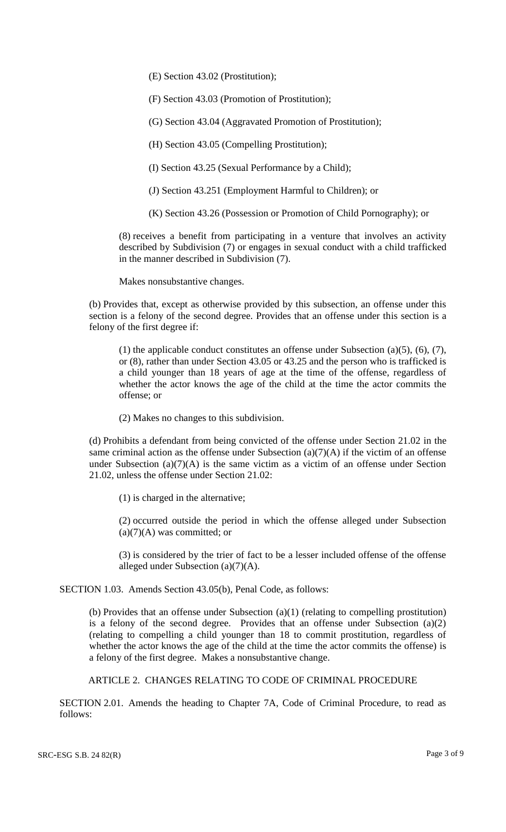(E) Section 43.02 (Prostitution);

(F) Section 43.03 (Promotion of Prostitution);

(G) Section 43.04 (Aggravated Promotion of Prostitution);

(H) Section 43.05 (Compelling Prostitution);

(I) Section 43.25 (Sexual Performance by a Child);

(J) Section 43.251 (Employment Harmful to Children); or

(K) Section 43.26 (Possession or Promotion of Child Pornography); or

(8) receives a benefit from participating in a venture that involves an activity described by Subdivision (7) or engages in sexual conduct with a child trafficked in the manner described in Subdivision (7).

Makes nonsubstantive changes.

(b) Provides that, except as otherwise provided by this subsection, an offense under this section is a felony of the second degree. Provides that an offense under this section is a felony of the first degree if:

(1) the applicable conduct constitutes an offense under Subsection (a)(5), (6), (7), or (8), rather than under Section 43.05 or 43.25 and the person who is trafficked is a child younger than 18 years of age at the time of the offense, regardless of whether the actor knows the age of the child at the time the actor commits the offense; or

(2) Makes no changes to this subdivision.

(d) Prohibits a defendant from being convicted of the offense under Section 21.02 in the same criminal action as the offense under Subsection  $(a)(7)(A)$  if the victim of an offense under Subsection  $(a)(7)(A)$  is the same victim as a victim of an offense under Section 21.02, unless the offense under Section 21.02:

(1) is charged in the alternative;

(2) occurred outside the period in which the offense alleged under Subsection  $(a)(7)(A)$  was committed; or

(3) is considered by the trier of fact to be a lesser included offense of the offense alleged under Subsection (a)(7)(A).

SECTION 1.03. Amends Section 43.05(b), Penal Code, as follows:

(b) Provides that an offense under Subsection (a)(1) (relating to compelling prostitution) is a felony of the second degree. Provides that an offense under Subsection (a)(2) (relating to compelling a child younger than 18 to commit prostitution, regardless of whether the actor knows the age of the child at the time the actor commits the offense) is a felony of the first degree. Makes a nonsubstantive change.

ARTICLE 2. CHANGES RELATING TO CODE OF CRIMINAL PROCEDURE

SECTION 2.01. Amends the heading to Chapter 7A, Code of Criminal Procedure, to read as follows: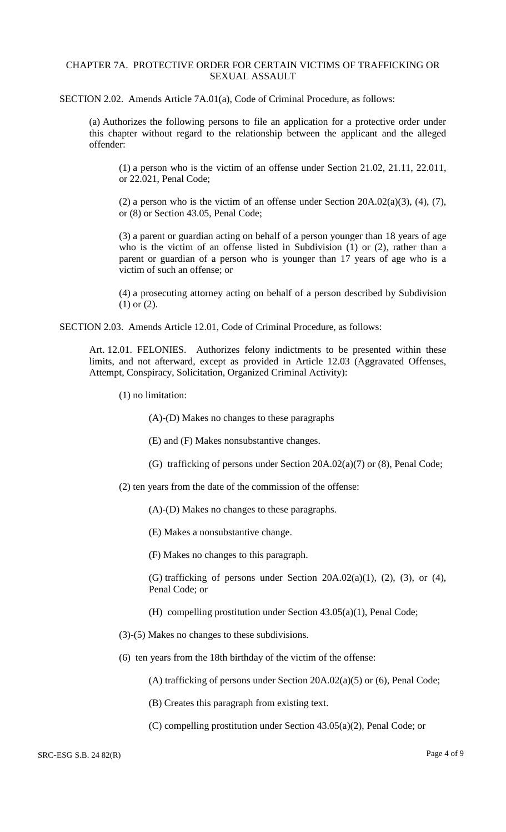### CHAPTER 7A. PROTECTIVE ORDER FOR CERTAIN VICTIMS OF TRAFFICKING OR SEXUAL ASSAULT

SECTION 2.02. Amends Article 7A.01(a), Code of Criminal Procedure, as follows:

(a) Authorizes the following persons to file an application for a protective order under this chapter without regard to the relationship between the applicant and the alleged offender:

(1) a person who is the victim of an offense under Section 21.02, 21.11, 22.011, or 22.021, Penal Code;

(2) a person who is the victim of an offense under Section  $20A.02(a)(3)$ , (4), (7), or (8) or Section 43.05, Penal Code;

(3) a parent or guardian acting on behalf of a person younger than 18 years of age who is the victim of an offense listed in Subdivision (1) or (2), rather than a parent or guardian of a person who is younger than 17 years of age who is a victim of such an offense; or

(4) a prosecuting attorney acting on behalf of a person described by Subdivision (1) or (2).

SECTION 2.03. Amends Article 12.01, Code of Criminal Procedure, as follows:

Art. 12.01. FELONIES. Authorizes felony indictments to be presented within these limits, and not afterward, except as provided in Article 12.03 (Aggravated Offenses, Attempt, Conspiracy, Solicitation, Organized Criminal Activity):

(1) no limitation:

(A)-(D) Makes no changes to these paragraphs

(E) and (F) Makes nonsubstantive changes.

(G) trafficking of persons under Section 20A.02(a)(7) or (8), Penal Code;

(2) ten years from the date of the commission of the offense:

(A)-(D) Makes no changes to these paragraphs.

(E) Makes a nonsubstantive change.

(F) Makes no changes to this paragraph.

(G) trafficking of persons under Section  $20A.02(a)(1)$ ,  $(2)$ ,  $(3)$ , or  $(4)$ , Penal Code; or

- (H) compelling prostitution under Section 43.05(a)(1), Penal Code;
- (3)-(5) Makes no changes to these subdivisions.
- (6) ten years from the 18th birthday of the victim of the offense:

(A) trafficking of persons under Section 20A.02(a)(5) or (6), Penal Code;

- (B) Creates this paragraph from existing text.
- (C) compelling prostitution under Section 43.05(a)(2), Penal Code; or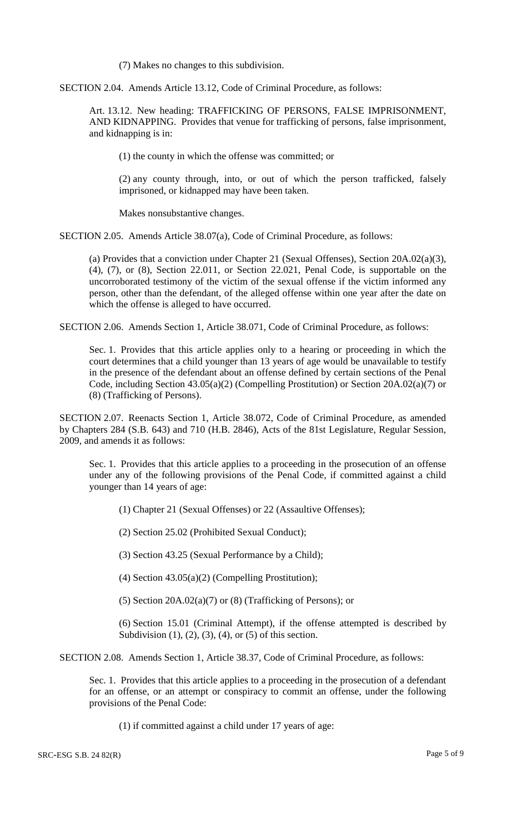(7) Makes no changes to this subdivision.

SECTION 2.04. Amends Article 13.12, Code of Criminal Procedure, as follows:

Art. 13.12. New heading: TRAFFICKING OF PERSONS, FALSE IMPRISONMENT, AND KIDNAPPING. Provides that venue for trafficking of persons, false imprisonment, and kidnapping is in:

(1) the county in which the offense was committed; or

(2) any county through, into, or out of which the person trafficked, falsely imprisoned, or kidnapped may have been taken.

Makes nonsubstantive changes.

SECTION 2.05. Amends Article 38.07(a), Code of Criminal Procedure, as follows:

(a) Provides that a conviction under Chapter 21 (Sexual Offenses), Section 20A.02(a)(3), (4), (7), or (8), Section 22.011, or Section 22.021, Penal Code, is supportable on the uncorroborated testimony of the victim of the sexual offense if the victim informed any person, other than the defendant, of the alleged offense within one year after the date on which the offense is alleged to have occurred.

SECTION 2.06. Amends Section 1, Article 38.071, Code of Criminal Procedure, as follows:

Sec. 1. Provides that this article applies only to a hearing or proceeding in which the court determines that a child younger than 13 years of age would be unavailable to testify in the presence of the defendant about an offense defined by certain sections of the Penal Code, including Section 43.05(a)(2) (Compelling Prostitution) or Section 20A.02(a)(7) or (8) (Trafficking of Persons).

SECTION 2.07. Reenacts Section 1, Article 38.072, Code of Criminal Procedure, as amended by Chapters 284 (S.B. 643) and 710 (H.B. 2846), Acts of the 81st Legislature, Regular Session, 2009, and amends it as follows:

Sec. 1. Provides that this article applies to a proceeding in the prosecution of an offense under any of the following provisions of the Penal Code, if committed against a child younger than 14 years of age:

(1) Chapter 21 (Sexual Offenses) or 22 (Assaultive Offenses);

(2) Section 25.02 (Prohibited Sexual Conduct);

(3) Section 43.25 (Sexual Performance by a Child);

(4) Section 43.05(a)(2) (Compelling Prostitution);

(5) Section  $20A.02(a)(7)$  or (8) (Trafficking of Persons); or

(6) Section 15.01 (Criminal Attempt), if the offense attempted is described by Subdivision  $(1)$ ,  $(2)$ ,  $(3)$ ,  $(4)$ , or  $(5)$  of this section.

SECTION 2.08. Amends Section 1, Article 38.37, Code of Criminal Procedure, as follows:

Sec. 1. Provides that this article applies to a proceeding in the prosecution of a defendant for an offense, or an attempt or conspiracy to commit an offense, under the following provisions of the Penal Code:

(1) if committed against a child under 17 years of age: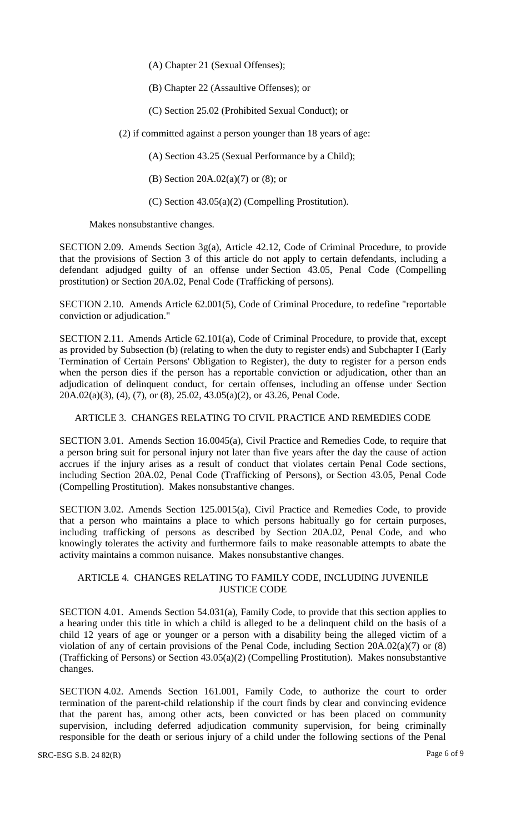(A) Chapter 21 (Sexual Offenses);

(B) Chapter 22 (Assaultive Offenses); or

(C) Section 25.02 (Prohibited Sexual Conduct); or

(2) if committed against a person younger than 18 years of age:

(A) Section 43.25 (Sexual Performance by a Child);

(B) Section 20A.02(a)(7) or (8); or

(C) Section 43.05(a)(2) (Compelling Prostitution).

Makes nonsubstantive changes.

SECTION 2.09. Amends Section 3g(a), Article 42.12, Code of Criminal Procedure, to provide that the provisions of Section 3 of this article do not apply to certain defendants, including a defendant adjudged guilty of an offense under Section 43.05, Penal Code (Compelling prostitution) or Section 20A.02, Penal Code (Trafficking of persons).

SECTION 2.10. Amends Article 62.001(5), Code of Criminal Procedure, to redefine "reportable conviction or adjudication."

SECTION 2.11. Amends Article 62.101(a), Code of Criminal Procedure, to provide that, except as provided by Subsection (b) (relating to when the duty to register ends) and Subchapter I (Early Termination of Certain Persons' Obligation to Register), the duty to register for a person ends when the person dies if the person has a reportable conviction or adjudication, other than an adjudication of delinquent conduct, for certain offenses, including an offense under Section 20A.02(a)(3), (4), (7), or (8), 25.02, 43.05(a)(2), or 43.26, Penal Code.

ARTICLE 3. CHANGES RELATING TO CIVIL PRACTICE AND REMEDIES CODE

SECTION 3.01. Amends Section 16.0045(a), Civil Practice and Remedies Code, to require that a person bring suit for personal injury not later than five years after the day the cause of action accrues if the injury arises as a result of conduct that violates certain Penal Code sections, including Section 20A.02, Penal Code (Trafficking of Persons), or Section 43.05, Penal Code (Compelling Prostitution). Makes nonsubstantive changes.

SECTION 3.02. Amends Section 125.0015(a), Civil Practice and Remedies Code, to provide that a person who maintains a place to which persons habitually go for certain purposes, including trafficking of persons as described by Section 20A.02, Penal Code, and who knowingly tolerates the activity and furthermore fails to make reasonable attempts to abate the activity maintains a common nuisance. Makes nonsubstantive changes.

## ARTICLE 4. CHANGES RELATING TO FAMILY CODE, INCLUDING JUVENILE JUSTICE CODE

SECTION 4.01. Amends Section 54.031(a), Family Code, to provide that this section applies to a hearing under this title in which a child is alleged to be a delinquent child on the basis of a child 12 years of age or younger or a person with a disability being the alleged victim of a violation of any of certain provisions of the Penal Code, including Section  $20A.02(a)(7)$  or  $(8)$ (Trafficking of Persons) or Section 43.05(a)(2) (Compelling Prostitution). Makes nonsubstantive changes.

SECTION 4.02. Amends Section 161.001, Family Code, to authorize the court to order termination of the parent-child relationship if the court finds by clear and convincing evidence that the parent has, among other acts, been convicted or has been placed on community supervision, including deferred adjudication community supervision, for being criminally responsible for the death or serious injury of a child under the following sections of the Penal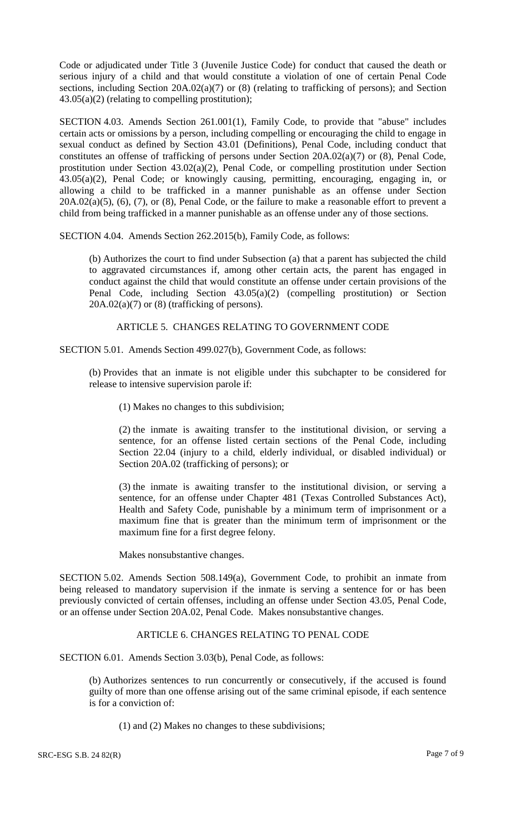Code or adjudicated under Title 3 (Juvenile Justice Code) for conduct that caused the death or serious injury of a child and that would constitute a violation of one of certain Penal Code sections, including Section 20A.02(a)(7) or (8) (relating to trafficking of persons); and Section  $43.05(a)(2)$  (relating to compelling prostitution);

SECTION 4.03. Amends Section 261.001(1), Family Code, to provide that "abuse" includes certain acts or omissions by a person, including compelling or encouraging the child to engage in sexual conduct as defined by Section 43.01 (Definitions), Penal Code, including conduct that constitutes an offense of trafficking of persons under Section 20A.02(a)(7) or (8), Penal Code, prostitution under Section 43.02(a)(2), Penal Code, or compelling prostitution under Section 43.05(a)(2), Penal Code; or knowingly causing, permitting, encouraging, engaging in, or allowing a child to be trafficked in a manner punishable as an offense under Section  $20A.02(a)(5)$ ,  $(6)$ ,  $(7)$ , or  $(8)$ , Penal Code, or the failure to make a reasonable effort to prevent a child from being trafficked in a manner punishable as an offense under any of those sections.

SECTION 4.04. Amends Section 262.2015(b), Family Code, as follows:

(b) Authorizes the court to find under Subsection (a) that a parent has subjected the child to aggravated circumstances if, among other certain acts, the parent has engaged in conduct against the child that would constitute an offense under certain provisions of the Penal Code, including Section 43.05(a)(2) (compelling prostitution) or Section  $20A.02(a)(7)$  or  $(8)$  (trafficking of persons).

ARTICLE 5. CHANGES RELATING TO GOVERNMENT CODE

SECTION 5.01. Amends Section 499.027(b), Government Code, as follows:

(b) Provides that an inmate is not eligible under this subchapter to be considered for release to intensive supervision parole if:

(1) Makes no changes to this subdivision;

(2) the inmate is awaiting transfer to the institutional division, or serving a sentence, for an offense listed certain sections of the Penal Code, including Section 22.04 (injury to a child, elderly individual, or disabled individual) or Section 20A.02 (trafficking of persons); or

(3) the inmate is awaiting transfer to the institutional division, or serving a sentence, for an offense under Chapter 481 (Texas Controlled Substances Act), Health and Safety Code, punishable by a minimum term of imprisonment or a maximum fine that is greater than the minimum term of imprisonment or the maximum fine for a first degree felony.

Makes nonsubstantive changes.

SECTION 5.02. Amends Section 508.149(a), Government Code, to prohibit an inmate from being released to mandatory supervision if the inmate is serving a sentence for or has been previously convicted of certain offenses, including an offense under Section 43.05, Penal Code, or an offense under Section 20A.02, Penal Code. Makes nonsubstantive changes.

## ARTICLE 6. CHANGES RELATING TO PENAL CODE

SECTION 6.01. Amends Section 3.03(b), Penal Code, as follows:

(b) Authorizes sentences to run concurrently or consecutively, if the accused is found guilty of more than one offense arising out of the same criminal episode, if each sentence is for a conviction of:

(1) and (2) Makes no changes to these subdivisions;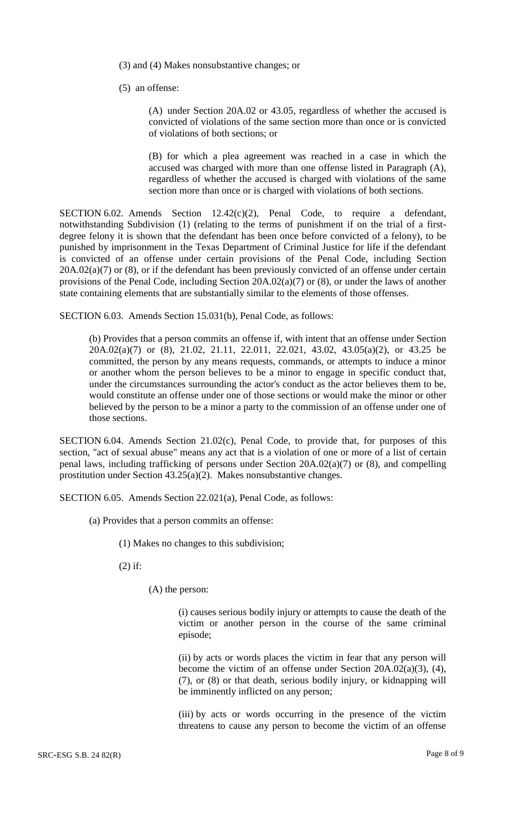(3) and (4) Makes nonsubstantive changes; or

(5) an offense:

(A) under Section 20A.02 or 43.05, regardless of whether the accused is convicted of violations of the same section more than once or is convicted of violations of both sections; or

(B) for which a plea agreement was reached in a case in which the accused was charged with more than one offense listed in Paragraph (A), regardless of whether the accused is charged with violations of the same section more than once or is charged with violations of both sections.

SECTION 6.02. Amends Section  $12.42(c)(2)$ , Penal Code, to require a defendant, notwithstanding Subdivision (1) (relating to the terms of punishment if on the trial of a firstdegree felony it is shown that the defendant has been once before convicted of a felony), to be punished by imprisonment in the Texas Department of Criminal Justice for life if the defendant is convicted of an offense under certain provisions of the Penal Code, including Section  $20A.02(a)(7)$  or (8), or if the defendant has been previously convicted of an offense under certain provisions of the Penal Code, including Section 20A.02(a)(7) or (8), or under the laws of another state containing elements that are substantially similar to the elements of those offenses.

SECTION 6.03. Amends Section 15.031(b), Penal Code, as follows:

(b) Provides that a person commits an offense if, with intent that an offense under Section 20A.02(a)(7) or (8), 21.02, 21.11, 22.011, 22.021, 43.02, 43.05(a)(2), or 43.25 be committed, the person by any means requests, commands, or attempts to induce a minor or another whom the person believes to be a minor to engage in specific conduct that, under the circumstances surrounding the actor's conduct as the actor believes them to be, would constitute an offense under one of those sections or would make the minor or other believed by the person to be a minor a party to the commission of an offense under one of those sections.

SECTION 6.04. Amends Section 21.02(c), Penal Code, to provide that, for purposes of this section, "act of sexual abuse" means any act that is a violation of one or more of a list of certain penal laws, including trafficking of persons under Section 20A.02(a)(7) or (8), and compelling prostitution under Section 43.25(a)(2). Makes nonsubstantive changes.

SECTION 6.05. Amends Section 22.021(a), Penal Code, as follows:

- (a) Provides that a person commits an offense:
	- (1) Makes no changes to this subdivision;

(2) if:

(A) the person:

(i) causes serious bodily injury or attempts to cause the death of the victim or another person in the course of the same criminal episode;

(ii) by acts or words places the victim in fear that any person will become the victim of an offense under Section 20A.02(a)(3), (4), (7), or (8) or that death, serious bodily injury, or kidnapping will be imminently inflicted on any person;

(iii) by acts or words occurring in the presence of the victim threatens to cause any person to become the victim of an offense